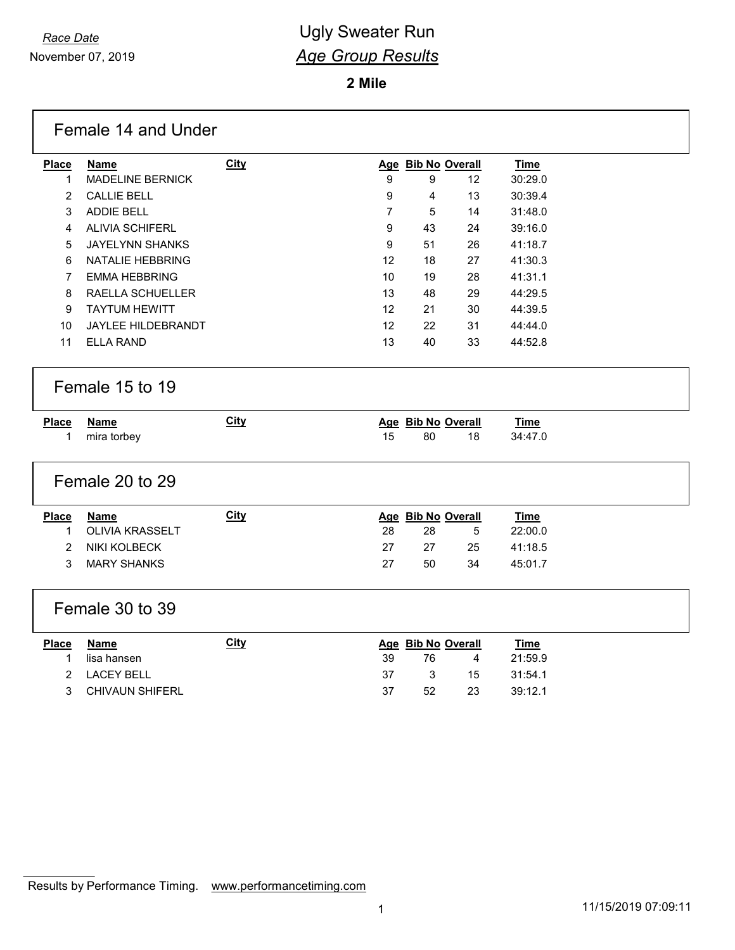$\Gamma$ 

# *Race Date* **Contract Contract Contract Contract Contract Contract Contract Contract Contract Contract Contract Contract Contract Contract Contract Contract Contract Contract Contract Contract Contract Contract Contract** *Age Group Results*

**Mile**

|                              | Female 14 and Under                   |             |    |    |                         |                        |  |
|------------------------------|---------------------------------------|-------------|----|----|-------------------------|------------------------|--|
| <b>Place</b>                 | <b>Name</b>                           | <b>City</b> |    |    | Age Bib No Overall      | <b>Time</b>            |  |
| 1                            | <b>MADELINE BERNICK</b>               |             | 9  | 9  | 12                      | 30:29.0                |  |
| $\overline{2}$               | <b>CALLIE BELL</b>                    |             | 9  | 4  | 13                      | 30:39.4                |  |
| 3                            | ADDIE BELL                            |             | 7  | 5  | 14                      | 31:48.0                |  |
| 4                            | <b>ALIVIA SCHIFERL</b>                |             | 9  | 43 | 24                      | 39:16.0                |  |
| 5                            | <b>JAYELYNN SHANKS</b>                |             | 9  | 51 | 26                      | 41:18.7                |  |
| 6                            | NATALIE HEBBRING                      |             | 12 | 18 | 27                      | 41:30.3                |  |
| $\overline{7}$               | <b>EMMA HEBBRING</b>                  |             | 10 | 19 | 28                      | 41:31.1                |  |
| 8                            | RAELLA SCHUELLER                      |             | 13 | 48 | 29                      | 44:29.5                |  |
| 9                            | <b>TAYTUM HEWITT</b>                  |             | 12 | 21 | 30                      | 44:39.5                |  |
| 10                           | JAYLEE HILDEBRANDT                    |             | 12 | 22 | 31                      | 44:44.0                |  |
| 11                           | <b>ELLA RAND</b>                      |             | 13 | 40 | 33                      | 44:52.8                |  |
|                              | Female 15 to 19                       |             |    |    |                         |                        |  |
|                              |                                       |             |    |    |                         |                        |  |
| <b>Place</b>                 | <b>Name</b>                           | <b>City</b> |    |    | Age Bib No Overall      | <b>Time</b>            |  |
| 1                            | mira torbey                           |             | 15 | 80 | 18                      | 34:47.0                |  |
|                              | Female 20 to 29                       |             |    |    |                         |                        |  |
|                              |                                       |             |    |    |                         |                        |  |
| <b>Place</b><br>$\mathbf{1}$ | <b>Name</b><br><b>OLIVIA KRASSELT</b> | <b>City</b> | 28 | 28 | Age Bib No Overall<br>5 | <b>Time</b><br>22:00.0 |  |
| $\overline{2}$               | NIKI KOLBECK                          |             | 27 | 27 | 25                      | 41:18.5                |  |
| 3                            | <b>MARY SHANKS</b>                    |             | 27 | 50 | 34                      | 45:01.7                |  |
|                              | Female 30 to 39                       |             |    |    |                         |                        |  |
|                              |                                       | <b>City</b> |    |    |                         |                        |  |
| <b>Place</b><br>$\mathbf 1$  | <b>Name</b><br>lisa hansen            |             | 39 | 76 | Age Bib No Overall<br>4 | <b>Time</b><br>21:59.9 |  |
| $\overline{2}$               | <b>LACEY BELL</b>                     |             | 37 | 3  | 15                      | 31:54.1                |  |
| 3                            | <b>CHIVAUN SHIFERL</b>                |             | 37 | 52 | 23                      | 39:12.1                |  |

Results by Performance Timing. [www.performancetiming.com](http://www.performancetiming.com)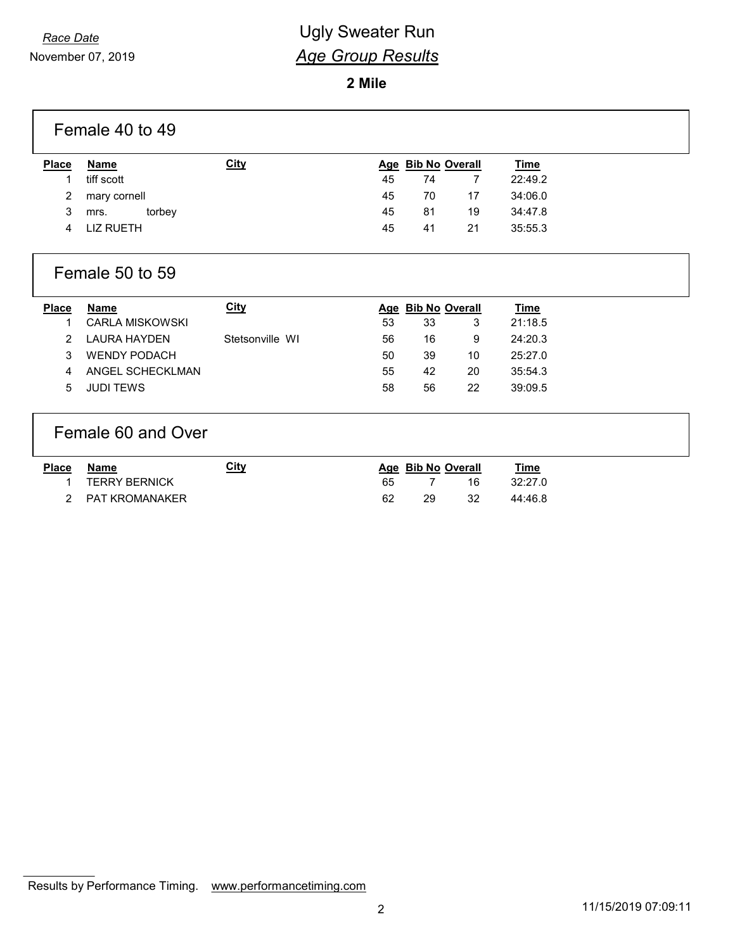# *Race Date* **Contract Contract Contract Contract Contract Contract Contract Contract Contract Contract Contract Contract Contract Contract Contract Contract Contract Contract Contract Contract Contract Contract Contract** *Age Group Results*

**2 Mile**

| Female 40 to 49 |                        |                 |            |                       |    |             |  |
|-----------------|------------------------|-----------------|------------|-----------------------|----|-------------|--|
| <b>Place</b>    | Name                   | <b>City</b>     | <b>Age</b> | <b>Bib No Overall</b> |    | <b>Time</b> |  |
| 1               | tiff scott             |                 | 45         | 74                    | 7  | 22:49.2     |  |
| 2               | mary cornell           |                 | 45         | 70                    | 17 | 34:06.0     |  |
| 3               | torbey<br>mrs.         |                 | 45         | 81                    | 19 | 34:47.8     |  |
| 4               | <b>LIZ RUETH</b>       |                 | 45         | 41                    | 21 | 35:55.3     |  |
|                 | Female 50 to 59        |                 |            |                       |    |             |  |
| <b>Place</b>    | <b>Name</b>            | <b>City</b>     |            | Age Bib No Overall    |    | <b>Time</b> |  |
| 1               | <b>CARLA MISKOWSKI</b> |                 | 53         | 33                    | 3  | 21:18.5     |  |
| 2               | <b>LAURA HAYDEN</b>    | Stetsonville WI | 56         | 16                    | 9  | 24:20.3     |  |
| 3               | <b>WENDY PODACH</b>    |                 | 50         | 39                    | 10 | 25:27.0     |  |
| 4               | ANGEL SCHECKLMAN       |                 | 55         | 42                    | 20 | 35:54.3     |  |
| 5               | <b>JUDI TEWS</b>       |                 | 58         | 56                    | 22 | 39:09.5     |  |
|                 | Female 60 and Over     |                 |            |                       |    |             |  |
| Place           | <b>Name</b>            | City            |            | Age Bib No Overall    |    | <b>Time</b> |  |
|                 | <b>TERRY BERNICK</b>   |                 | 65         | 7                     | 16 | 32:27.0     |  |
| 2               | <b>PAT KROMANAKER</b>  |                 | 62         | 29                    | 32 | 44:46.8     |  |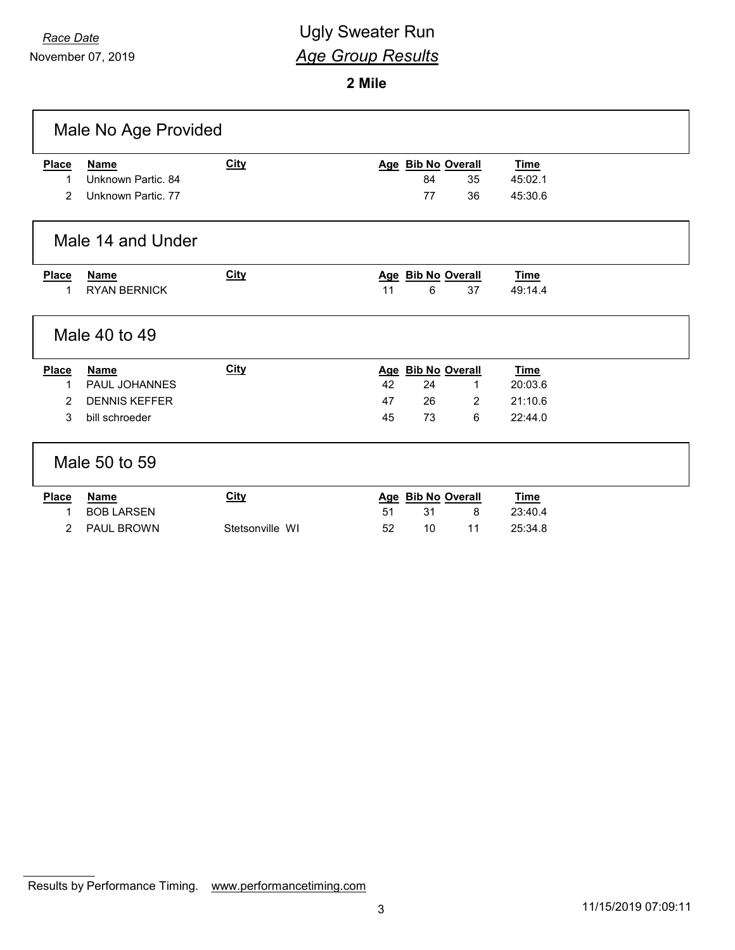November 07, 2019

# *Race Date* **Contract Contract Contract Contract Contract Contract Contract Contract Contract Contract Contract Contract Contract Contract Contract Contract Contract Contract Contract Contract Contract Contract Contract** *Age Group Results*

**2 Mile**

| Male No Age Provided |                      |                 |    |                    |                |             |  |
|----------------------|----------------------|-----------------|----|--------------------|----------------|-------------|--|
| <b>Place</b>         | <b>Name</b>          | <b>City</b>     |    | Age Bib No Overall |                | <u>Time</u> |  |
| 1                    | Unknown Partic, 84   |                 |    | 84                 | 35             | 45:02.1     |  |
| 2                    | Unknown Partic. 77   |                 |    | 77                 | 36             | 45:30.6     |  |
|                      | Male 14 and Under    |                 |    |                    |                |             |  |
| <b>Place</b>         | <b>Name</b>          | <b>City</b>     |    | Age Bib No Overall |                | Time        |  |
| 1                    | <b>RYAN BERNICK</b>  |                 | 11 | 6                  | 37             | 49:14.4     |  |
|                      | Male 40 to 49        |                 |    |                    |                |             |  |
| <b>Place</b>         | <b>Name</b>          | City            |    | Age Bib No Overall |                | <b>Time</b> |  |
| 1                    | PAUL JOHANNES        |                 | 42 | 24                 | 1              | 20:03.6     |  |
| 2                    | <b>DENNIS KEFFER</b> |                 | 47 | 26                 | $\overline{2}$ | 21:10.6     |  |
| 3                    | bill schroeder       |                 | 45 | 73                 | 6              | 22:44.0     |  |
|                      | Male 50 to 59        |                 |    |                    |                |             |  |
| <b>Place</b>         | <b>Name</b>          | City            |    | Age Bib No Overall |                | <b>Time</b> |  |
| 1                    | <b>BOB LARSEN</b>    |                 | 51 | 31                 | 8              | 23:40.4     |  |
| 2                    | PAUL BROWN           | Stetsonville WI | 52 | 10 <sup>°</sup>    | 11             | 25:34.8     |  |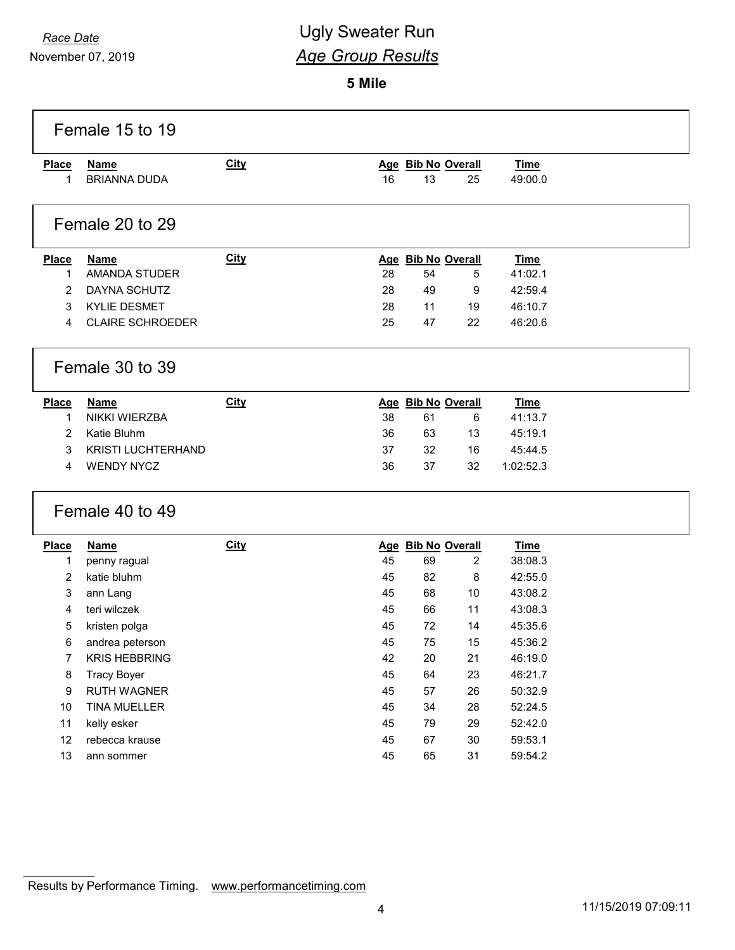ľ

November 07, 2019

# *Race Date* **Contract Contract Contract Contract Contract Contract Contract Contract Contract Contract Contract Contract Contract Contract Contract Contract Contract Contract Contract Contract Contract Contract Contract** *Age Group Results*

**Mile**

|              | Female 15 to 19         |             |    |                    |        |             |  |
|--------------|-------------------------|-------------|----|--------------------|--------|-------------|--|
| <b>Place</b> | <b>Name</b>             | <b>City</b> |    | Age Bib No Overall |        | <b>Time</b> |  |
| 1            | <b>BRIANNA DUDA</b>     |             | 16 | 13                 | 25     | 49:00.0     |  |
|              | Female 20 to 29         |             |    |                    |        |             |  |
| <b>Place</b> | <b>Name</b>             | <b>City</b> |    | Age Bib No Overall |        | <b>Time</b> |  |
| 1            | <b>AMANDA STUDER</b>    |             | 28 | 54                 | 5      | 41:02.1     |  |
| 2            | DAYNA SCHUTZ            |             | 28 | 49                 | 9      | 42:59.4     |  |
| 3            | <b>KYLIE DESMET</b>     |             | 28 | 11                 | 19     | 46:10.7     |  |
| 4            | <b>CLAIRE SCHROEDER</b> |             | 25 | 47                 | 22     | 46:20.6     |  |
|              | Female 30 to 39         |             |    |                    |        |             |  |
| <b>Place</b> | <b>Name</b>             | <b>City</b> |    | Age Bib No Overall |        | <u>Time</u> |  |
| 1            | NIKKI WIERZBA           |             | 38 | 61                 | 6      | 41:13.7     |  |
| 2            | Katie Bluhm             |             | 36 | 63                 | 13     | 45:19.1     |  |
| 3            | KRISTI LUCHTERHAND      |             | 37 | 32                 | 16     | 45:44.5     |  |
| 4            | <b>WENDY NYCZ</b>       |             | 36 | 37                 | 32     | 1:02:52.3   |  |
|              | Female 40 to 49         |             |    |                    |        |             |  |
| <b>Place</b> | <u>Name</u>             | <b>City</b> |    | Age Bib No Overall |        | <b>Time</b> |  |
| 1            | penny ragual            |             | 45 | 69                 | 2      | 38:08.3     |  |
| 2            | katie bluhm             |             | 45 | 82                 | 8      | 42:55.0     |  |
| 3            | ann Lang                |             | 45 | 68                 | 10     | 43:08.2     |  |
| 4            | teri wilczek            |             | 45 | 66                 | 11     | 43:08.3     |  |
| 5            | kristen polga           |             | 45 | 72                 | 14     | 45:35.6     |  |
| 6            | andrea peterson         |             | 45 | 75                 | 15     | 45:36.2     |  |
| 7            | <b>KRIS HEBBRING</b>    |             | 42 | 20                 | 21     | 46:19.0     |  |
| 8            | <b>Tracy Boyer</b>      |             | 45 | 64                 | 23     | 46:21.7     |  |
| 9            | RUTH WAGNER             |             | 45 | 57                 | 26     | 50:32.9     |  |
| 10           | TINA MUELLER            |             | 45 | 34                 | 28     | 52:24.5     |  |
| 11           | kelly esker             |             | 45 | 79                 | 29     | 52:42.0     |  |
| 12           | rebecca krause          |             | 45 | 67                 | $30\,$ | 59:53.1     |  |
| 13           | ann sommer              |             | 45 | 65                 | 31     | 59:54.2     |  |
|              |                         |             |    |                    |        |             |  |